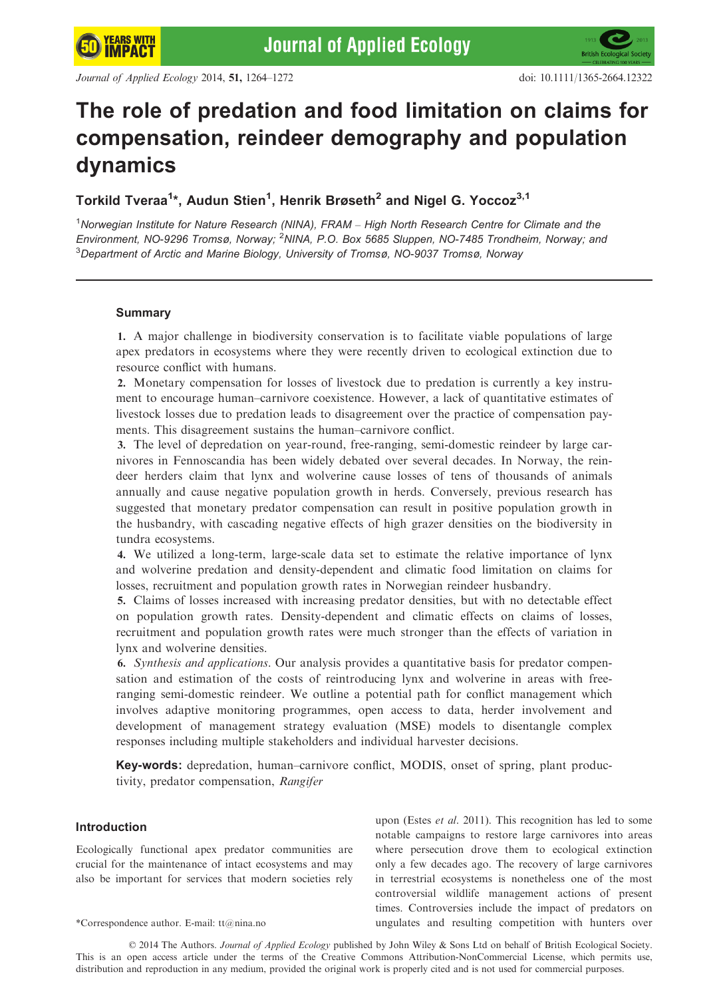# The role of predation and food limitation on claims for compensation, reindeer demography and population dynamics

Torkild Tveraa<sup>1</sup>\*, Audun Stien<sup>1</sup>, Henrik Brøseth<sup>2</sup> and Nigel G. Yoccoz<sup>3,1</sup>

<sup>1</sup>Norwegian Institute for Nature Research (NINA), FRAM – High North Research Centre for Climate and the Environment, NO-9296 Tromsø, Norway; <sup>2</sup>NINA, P.O. Box 5685 Sluppen, NO-7485 Trondheim, Norway; and 3 Department of Arctic and Marine Biology, University of Tromsø, NO-9037 Tromsø, Norway

# Summary

1. A major challenge in biodiversity conservation is to facilitate viable populations of large apex predators in ecosystems where they were recently driven to ecological extinction due to resource conflict with humans.

2. Monetary compensation for losses of livestock due to predation is currently a key instrument to encourage human–carnivore coexistence. However, a lack of quantitative estimates of livestock losses due to predation leads to disagreement over the practice of compensation payments. This disagreement sustains the human–carnivore conflict.

3. The level of depredation on year-round, free-ranging, semi-domestic reindeer by large carnivores in Fennoscandia has been widely debated over several decades. In Norway, the reindeer herders claim that lynx and wolverine cause losses of tens of thousands of animals annually and cause negative population growth in herds. Conversely, previous research has suggested that monetary predator compensation can result in positive population growth in the husbandry, with cascading negative effects of high grazer densities on the biodiversity in tundra ecosystems.

4. We utilized a long-term, large-scale data set to estimate the relative importance of lynx and wolverine predation and density-dependent and climatic food limitation on claims for losses, recruitment and population growth rates in Norwegian reindeer husbandry.

5. Claims of losses increased with increasing predator densities, but with no detectable effect on population growth rates. Density-dependent and climatic effects on claims of losses, recruitment and population growth rates were much stronger than the effects of variation in lynx and wolverine densities.

6. Synthesis and applications. Our analysis provides a quantitative basis for predator compensation and estimation of the costs of reintroducing lynx and wolverine in areas with freeranging semi-domestic reindeer. We outline a potential path for conflict management which involves adaptive monitoring programmes, open access to data, herder involvement and development of management strategy evaluation (MSE) models to disentangle complex responses including multiple stakeholders and individual harvester decisions.

Key-words: depredation, human–carnivore conflict, MODIS, onset of spring, plant productivity, predator compensation, Rangifer

# Introduction

Ecologically functional apex predator communities are crucial for the maintenance of intact ecosystems and may also be important for services that modern societies rely

upon (Estes et al. 2011). This recognition has led to some notable campaigns to restore large carnivores into areas where persecution drove them to ecological extinction only a few decades ago. The recovery of large carnivores in terrestrial ecosystems is nonetheless one of the most controversial wildlife management actions of present times. Controversies include the impact of predators on \*Correspondence author. E-mail: tt@nina.no ungulates and resulting competition with hunters over

© 2014 The Authors. Journal of Applied Ecology published by John Wiley & Sons Ltd on behalf of British Ecological Society. This is an open access article under the terms of the Creative Commons Attribution-NonCommercial License, which permits use, distribution and reproduction in any medium, provided the original work is properly cited and is not used for commercial purposes.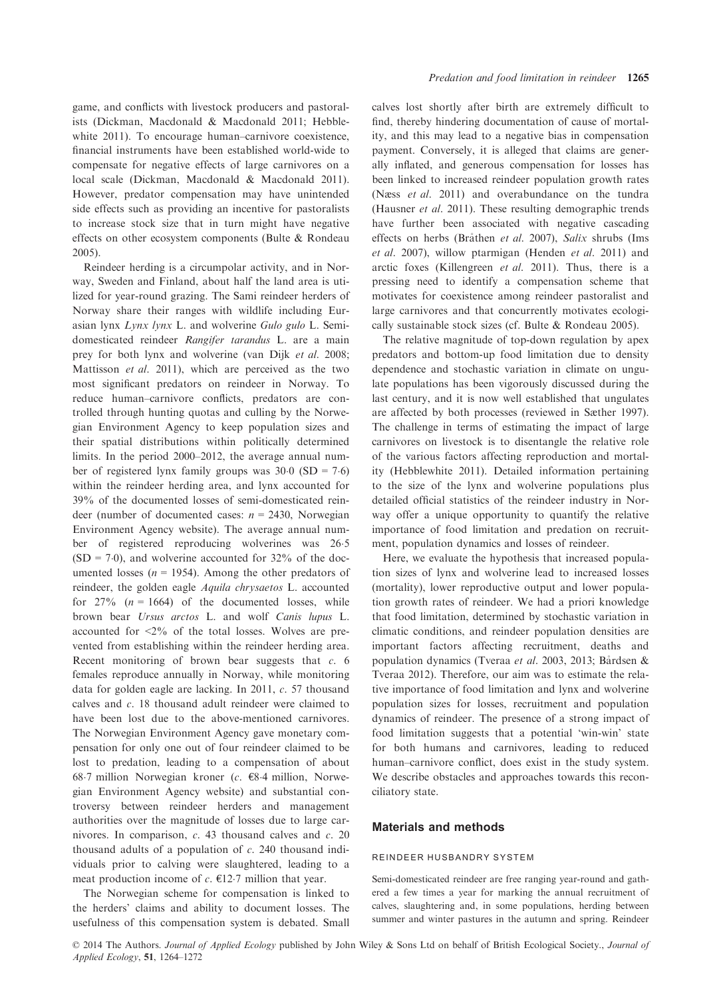game, and conflicts with livestock producers and pastoralists (Dickman, Macdonald & Macdonald 2011; Hebblewhite 2011). To encourage human–carnivore coexistence, financial instruments have been established world-wide to compensate for negative effects of large carnivores on a local scale (Dickman, Macdonald & Macdonald 2011). However, predator compensation may have unintended side effects such as providing an incentive for pastoralists to increase stock size that in turn might have negative effects on other ecosystem components (Bulte & Rondeau 2005).

Reindeer herding is a circumpolar activity, and in Norway, Sweden and Finland, about half the land area is utilized for year-round grazing. The Sami reindeer herders of Norway share their ranges with wildlife including Eurasian lynx Lynx lynx L. and wolverine Gulo gulo L. Semidomesticated reindeer Rangifer tarandus L. are a main prey for both lynx and wolverine (van Dijk et al. 2008; Mattisson *et al.* 2011), which are perceived as the two most significant predators on reindeer in Norway. To reduce human–carnivore conflicts, predators are controlled through hunting quotas and culling by the Norwegian Environment Agency to keep population sizes and their spatial distributions within politically determined limits. In the period 2000–2012, the average annual number of registered lynx family groups was  $30.0$  (SD = 7.6) within the reindeer herding area, and lynx accounted for 39% of the documented losses of semi-domesticated reindeer (number of documented cases:  $n = 2430$ , Norwegian Environment Agency website). The average annual number of registered reproducing wolverines was 26.5  $(SD = 7.0)$ , and wolverine accounted for 32% of the documented losses ( $n = 1954$ ). Among the other predators of reindeer, the golden eagle Aquila chrysaetos L. accounted for  $27\%$  ( $n = 1664$ ) of the documented losses, while brown bear Ursus arctos L. and wolf Canis lupus L. accounted for  $\langle 2\%$  of the total losses. Wolves are prevented from establishing within the reindeer herding area. Recent monitoring of brown bear suggests that  $c$ . 6 females reproduce annually in Norway, while monitoring data for golden eagle are lacking. In 2011, c. 57 thousand calves and c. 18 thousand adult reindeer were claimed to have been lost due to the above-mentioned carnivores. The Norwegian Environment Agency gave monetary compensation for only one out of four reindeer claimed to be lost to predation, leading to a compensation of about 68.7 million Norwegian kroner ( $c$ . €8.4 million, Norwegian Environment Agency website) and substantial controversy between reindeer herders and management authorities over the magnitude of losses due to large carnivores. In comparison, c. 43 thousand calves and c. 20 thousand adults of a population of  $c$ . 240 thousand individuals prior to calving were slaughtered, leading to a meat production income of  $c$ .  $\epsilon$ 12.7 million that year.

The Norwegian scheme for compensation is linked to the herders' claims and ability to document losses. The usefulness of this compensation system is debated. Small

calves lost shortly after birth are extremely difficult to find, thereby hindering documentation of cause of mortality, and this may lead to a negative bias in compensation payment. Conversely, it is alleged that claims are generally inflated, and generous compensation for losses has been linked to increased reindeer population growth rates (Næss et al. 2011) and overabundance on the tundra (Hausner et al. 2011). These resulting demographic trends have further been associated with negative cascading effects on herbs (Bråthen et al. 2007), Salix shrubs (Ims et al. 2007), willow ptarmigan (Henden et al. 2011) and arctic foxes (Killengreen et al. 2011). Thus, there is a pressing need to identify a compensation scheme that motivates for coexistence among reindeer pastoralist and large carnivores and that concurrently motivates ecologically sustainable stock sizes (cf. Bulte & Rondeau 2005).

The relative magnitude of top-down regulation by apex predators and bottom-up food limitation due to density dependence and stochastic variation in climate on ungulate populations has been vigorously discussed during the last century, and it is now well established that ungulates are affected by both processes (reviewed in Sæther 1997). The challenge in terms of estimating the impact of large carnivores on livestock is to disentangle the relative role of the various factors affecting reproduction and mortality (Hebblewhite 2011). Detailed information pertaining to the size of the lynx and wolverine populations plus detailed official statistics of the reindeer industry in Norway offer a unique opportunity to quantify the relative importance of food limitation and predation on recruitment, population dynamics and losses of reindeer.

Here, we evaluate the hypothesis that increased population sizes of lynx and wolverine lead to increased losses (mortality), lower reproductive output and lower population growth rates of reindeer. We had a priori knowledge that food limitation, determined by stochastic variation in climatic conditions, and reindeer population densities are important factors affecting recruitment, deaths and population dynamics (Tveraa et al. 2003, 2013; Bårdsen & Tveraa 2012). Therefore, our aim was to estimate the relative importance of food limitation and lynx and wolverine population sizes for losses, recruitment and population dynamics of reindeer. The presence of a strong impact of food limitation suggests that a potential 'win-win' state for both humans and carnivores, leading to reduced human–carnivore conflict, does exist in the study system. We describe obstacles and approaches towards this reconciliatory state.

# Materials and methods

#### REINDEER HUSBANDRY SYSTEM

Semi-domesticated reindeer are free ranging year-round and gathered a few times a year for marking the annual recruitment of calves, slaughtering and, in some populations, herding between summer and winter pastures in the autumn and spring. Reindeer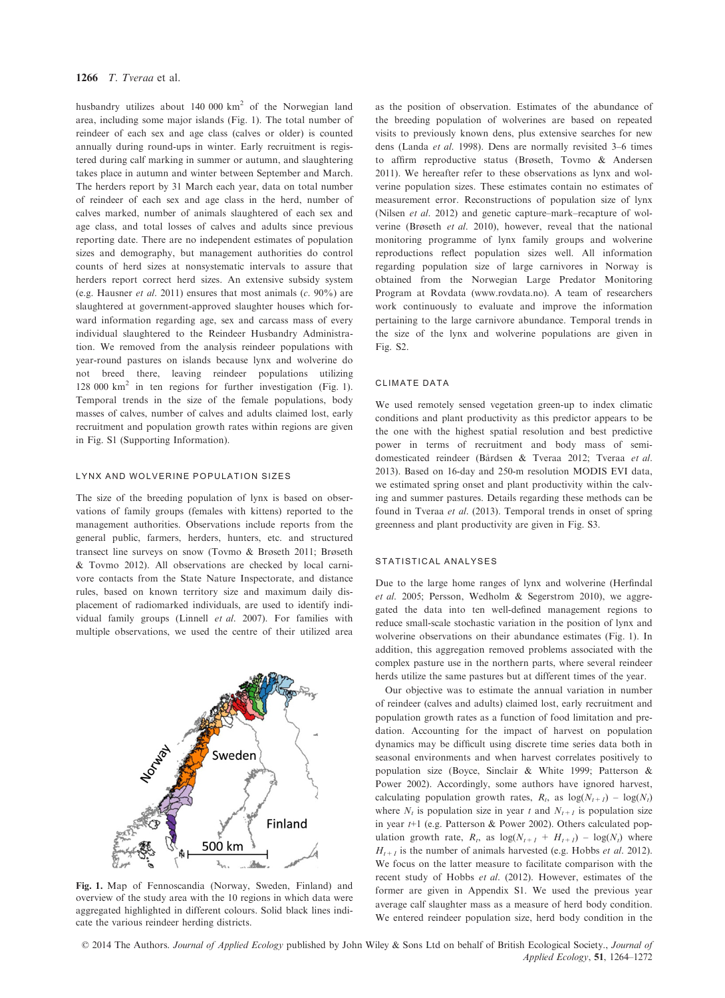husbandry utilizes about 140 000 km<sup>2</sup> of the Norwegian land area, including some major islands (Fig. 1). The total number of reindeer of each sex and age class (calves or older) is counted annually during round-ups in winter. Early recruitment is registered during calf marking in summer or autumn, and slaughtering takes place in autumn and winter between September and March. The herders report by 31 March each year, data on total number of reindeer of each sex and age class in the herd, number of calves marked, number of animals slaughtered of each sex and age class, and total losses of calves and adults since previous reporting date. There are no independent estimates of population sizes and demography, but management authorities do control counts of herd sizes at nonsystematic intervals to assure that herders report correct herd sizes. An extensive subsidy system (e.g. Hausner *et al.* 2011) ensures that most animals  $(c. 90\%)$  are slaughtered at government-approved slaughter houses which forward information regarding age, sex and carcass mass of every individual slaughtered to the Reindeer Husbandry Administration. We removed from the analysis reindeer populations with year-round pastures on islands because lynx and wolverine do not breed there, leaving reindeer populations utilizing 128 000 km2 in ten regions for further investigation (Fig. 1). Temporal trends in the size of the female populations, body masses of calves, number of calves and adults claimed lost, early recruitment and population growth rates within regions are given in Fig. S1 (Supporting Information).

# LYNX AND WOLVERINE POPULATION SIZES

The size of the breeding population of lynx is based on observations of family groups (females with kittens) reported to the management authorities. Observations include reports from the general public, farmers, herders, hunters, etc. and structured transect line surveys on snow (Tovmo & Brøseth 2011; Brøseth & Tovmo 2012). All observations are checked by local carnivore contacts from the State Nature Inspectorate, and distance rules, based on known territory size and maximum daily displacement of radiomarked individuals, are used to identify individual family groups (Linnell et al. 2007). For families with multiple observations, we used the centre of their utilized area



Fig. 1. Map of Fennoscandia (Norway, Sweden, Finland) and overview of the study area with the 10 regions in which data were aggregated highlighted in different colours. Solid black lines indicate the various reindeer herding districts.

as the position of observation. Estimates of the abundance of the breeding population of wolverines are based on repeated visits to previously known dens, plus extensive searches for new dens (Landa et al. 1998). Dens are normally revisited 3–6 times to affirm reproductive status (Brøseth, Tovmo & Andersen 2011). We hereafter refer to these observations as lynx and wolverine population sizes. These estimates contain no estimates of measurement error. Reconstructions of population size of lynx (Nilsen et al. 2012) and genetic capture–mark–recapture of wolverine (Brøseth et al. 2010), however, reveal that the national monitoring programme of lynx family groups and wolverine reproductions reflect population sizes well. All information regarding population size of large carnivores in Norway is obtained from the Norwegian Large Predator Monitoring Program at Rovdata (www.rovdata.no). A team of researchers work continuously to evaluate and improve the information pertaining to the large carnivore abundance. Temporal trends in the size of the lynx and wolverine populations are given in Fig. S2.

#### CLIMATE DATA

We used remotely sensed vegetation green-up to index climatic conditions and plant productivity as this predictor appears to be the one with the highest spatial resolution and best predictive power in terms of recruitment and body mass of semidomesticated reindeer (Bardsen & Tveraa 2012; Tveraa et al. 2013). Based on 16-day and 250-m resolution MODIS EVI data, we estimated spring onset and plant productivity within the calving and summer pastures. Details regarding these methods can be found in Tveraa et al. (2013). Temporal trends in onset of spring greenness and plant productivity are given in Fig. S3.

## STATISTICAL ANALYSES

Due to the large home ranges of lynx and wolverine (Herfindal et al. 2005; Persson, Wedholm & Segerstrom 2010), we aggregated the data into ten well-defined management regions to reduce small-scale stochastic variation in the position of lynx and wolverine observations on their abundance estimates (Fig. 1). In addition, this aggregation removed problems associated with the complex pasture use in the northern parts, where several reindeer herds utilize the same pastures but at different times of the year.

Our objective was to estimate the annual variation in number of reindeer (calves and adults) claimed lost, early recruitment and population growth rates as a function of food limitation and predation. Accounting for the impact of harvest on population dynamics may be difficult using discrete time series data both in seasonal environments and when harvest correlates positively to population size (Boyce, Sinclair & White 1999; Patterson & Power 2002). Accordingly, some authors have ignored harvest, calculating population growth rates,  $R_t$ , as  $log(N_{t+1}) - log(N_t)$ where  $N_t$  is population size in year t and  $N_{t+1}$  is population size in year  $t+1$  (e.g. Patterson & Power 2002). Others calculated population growth rate,  $R_t$ , as  $\log(N_{t+1} + H_{t+1}) - \log(N_t)$  where  $H_{t+1}$  is the number of animals harvested (e.g. Hobbs *et al.* 2012). We focus on the latter measure to facilitate comparison with the recent study of Hobbs et al. (2012). However, estimates of the former are given in Appendix S1. We used the previous year average calf slaughter mass as a measure of herd body condition. We entered reindeer population size, herd body condition in the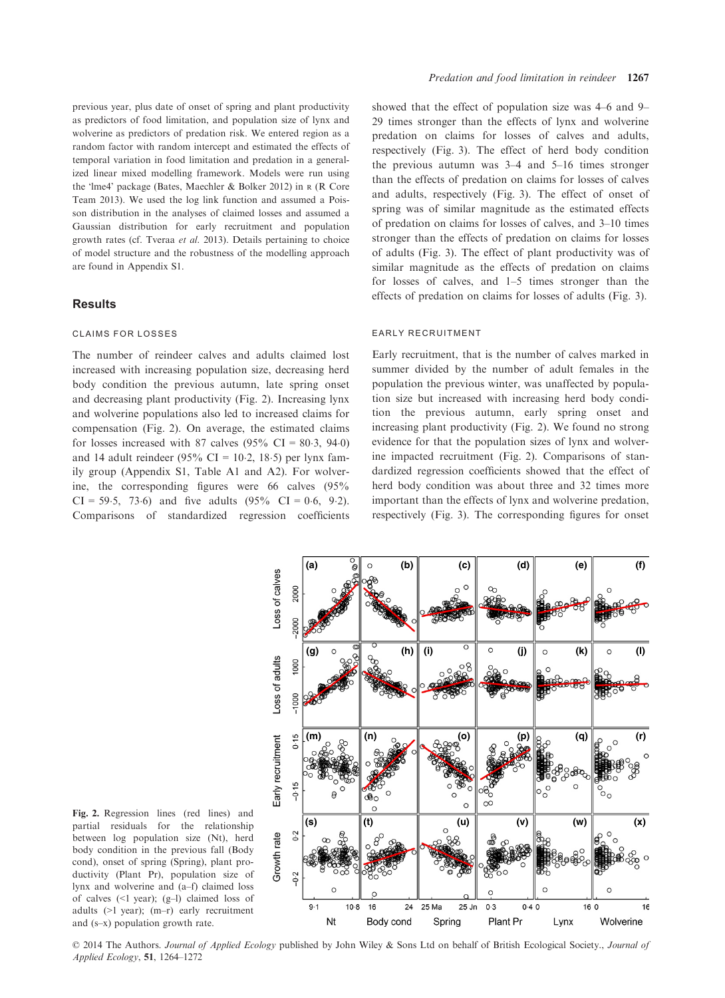previous year, plus date of onset of spring and plant productivity as predictors of food limitation, and population size of lynx and wolverine as predictors of predation risk. We entered region as a random factor with random intercept and estimated the effects of temporal variation in food limitation and predation in a generalized linear mixed modelling framework. Models were run using the 'lme4' package (Bates, Maechler & Bolker 2012) in <sup>R</sup> (R Core Team 2013). We used the log link function and assumed a Poisson distribution in the analyses of claimed losses and assumed a Gaussian distribution for early recruitment and population growth rates (cf. Tveraa et al. 2013). Details pertaining to choice of model structure and the robustness of the modelling approach are found in Appendix S1.

# Results

# CLAIMS FOR LOSSES

The number of reindeer calves and adults claimed lost increased with increasing population size, decreasing herd body condition the previous autumn, late spring onset and decreasing plant productivity (Fig. 2). Increasing lynx and wolverine populations also led to increased claims for compensation (Fig. 2). On average, the estimated claims for losses increased with 87 calves  $(95\% \text{ CI} = 80.3, 94.0)$ and 14 adult reindeer (95% CI = 10.2, 18.5) per lynx family group (Appendix S1, Table A1 and A2). For wolverine, the corresponding figures were 66 calves (95%  $CI = 59.5, 73.6$  and five adults  $(95\% \text{ CI} = 0.6, 9.2)$ . Comparisons of standardized regression coefficients showed that the effect of population size was 4–6 and 9– 29 times stronger than the effects of lynx and wolverine predation on claims for losses of calves and adults, respectively (Fig. 3). The effect of herd body condition the previous autumn was 3–4 and 5–16 times stronger than the effects of predation on claims for losses of calves and adults, respectively (Fig. 3). The effect of onset of spring was of similar magnitude as the estimated effects of predation on claims for losses of calves, and 3–10 times stronger than the effects of predation on claims for losses of adults (Fig. 3). The effect of plant productivity was of similar magnitude as the effects of predation on claims for losses of calves, and 1–5 times stronger than the effects of predation on claims for losses of adults (Fig. 3).

# EARLY RECRUITMENT

Early recruitment, that is the number of calves marked in summer divided by the number of adult females in the population the previous winter, was unaffected by population size but increased with increasing herd body condition the previous autumn, early spring onset and increasing plant productivity (Fig. 2). We found no strong evidence for that the population sizes of lynx and wolverine impacted recruitment (Fig. 2). Comparisons of standardized regression coefficients showed that the effect of herd body condition was about three and 32 times more important than the effects of lynx and wolverine predation, respectively (Fig. 3). The corresponding figures for onset



partial residuals for the relationship between log population size (Nt), herd body condition in the previous fall (Body cond), onset of spring (Spring), plant productivity (Plant Pr), population size of lynx and wolverine and (a–f) claimed loss of calves (<1 year); (g–l) claimed loss of adults (>1 year); (m–r) early recruitment and (s–x) population growth rate.

© 2014 The Authors. Journal of Applied Ecology published by John Wiley & Sons Ltd on behalf of British Ecological Society., Journal of Applied Ecology, 51, 1264–1272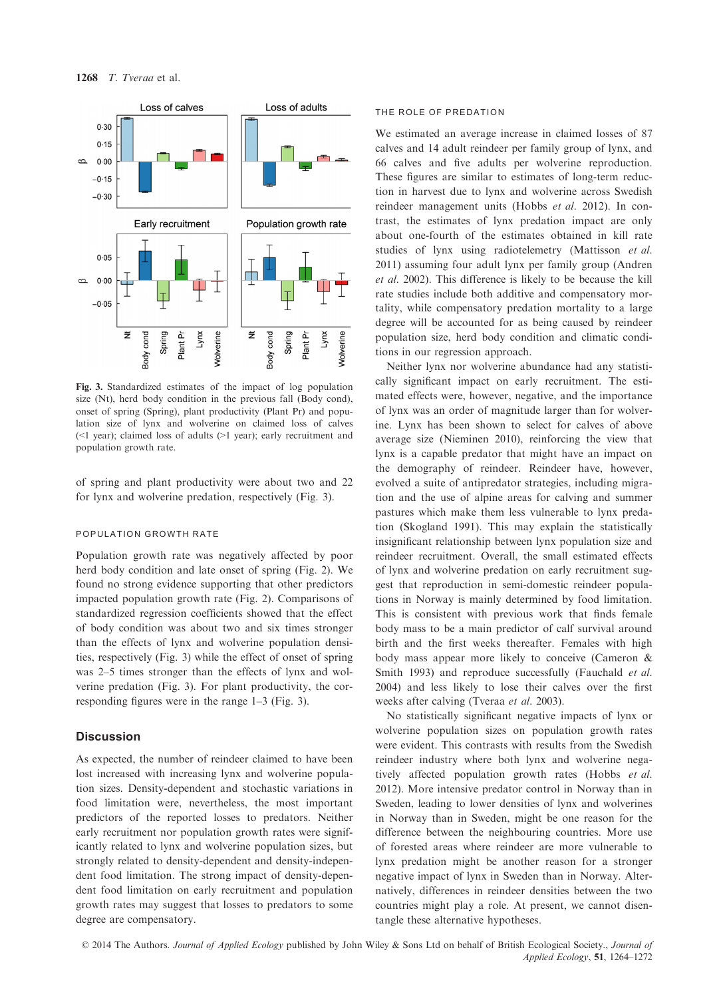

Fig. 3. Standardized estimates of the impact of log population size (Nt), herd body condition in the previous fall (Body cond), onset of spring (Spring), plant productivity (Plant Pr) and population size of lynx and wolverine on claimed loss of calves (<1 year); claimed loss of adults (>1 year); early recruitment and population growth rate.

of spring and plant productivity were about two and 22 for lynx and wolverine predation, respectively (Fig. 3).

# POPULATION GROWTH RATE

Population growth rate was negatively affected by poor herd body condition and late onset of spring (Fig. 2). We found no strong evidence supporting that other predictors impacted population growth rate (Fig. 2). Comparisons of standardized regression coefficients showed that the effect of body condition was about two and six times stronger than the effects of lynx and wolverine population densities, respectively (Fig. 3) while the effect of onset of spring was 2–5 times stronger than the effects of lynx and wolverine predation (Fig. 3). For plant productivity, the corresponding figures were in the range 1–3 (Fig. 3).

# **Discussion**

As expected, the number of reindeer claimed to have been lost increased with increasing lynx and wolverine population sizes. Density-dependent and stochastic variations in food limitation were, nevertheless, the most important predictors of the reported losses to predators. Neither early recruitment nor population growth rates were significantly related to lynx and wolverine population sizes, but strongly related to density-dependent and density-independent food limitation. The strong impact of density-dependent food limitation on early recruitment and population growth rates may suggest that losses to predators to some degree are compensatory.

#### THE ROLE OF PREDATION

We estimated an average increase in claimed losses of 87 calves and 14 adult reindeer per family group of lynx, and 66 calves and five adults per wolverine reproduction. These figures are similar to estimates of long-term reduction in harvest due to lynx and wolverine across Swedish reindeer management units (Hobbs et al. 2012). In contrast, the estimates of lynx predation impact are only about one-fourth of the estimates obtained in kill rate studies of lynx using radiotelemetry (Mattisson et al. 2011) assuming four adult lynx per family group (Andren et al. 2002). This difference is likely to be because the kill rate studies include both additive and compensatory mortality, while compensatory predation mortality to a large degree will be accounted for as being caused by reindeer population size, herd body condition and climatic conditions in our regression approach.

Neither lynx nor wolverine abundance had any statistically significant impact on early recruitment. The estimated effects were, however, negative, and the importance of lynx was an order of magnitude larger than for wolverine. Lynx has been shown to select for calves of above average size (Nieminen 2010), reinforcing the view that lynx is a capable predator that might have an impact on the demography of reindeer. Reindeer have, however, evolved a suite of antipredator strategies, including migration and the use of alpine areas for calving and summer pastures which make them less vulnerable to lynx predation (Skogland 1991). This may explain the statistically insignificant relationship between lynx population size and reindeer recruitment. Overall, the small estimated effects of lynx and wolverine predation on early recruitment suggest that reproduction in semi-domestic reindeer populations in Norway is mainly determined by food limitation. This is consistent with previous work that finds female body mass to be a main predictor of calf survival around birth and the first weeks thereafter. Females with high body mass appear more likely to conceive (Cameron & Smith 1993) and reproduce successfully (Fauchald et al. 2004) and less likely to lose their calves over the first weeks after calving (Tveraa et al. 2003).

No statistically significant negative impacts of lynx or wolverine population sizes on population growth rates were evident. This contrasts with results from the Swedish reindeer industry where both lynx and wolverine negatively affected population growth rates (Hobbs et al. 2012). More intensive predator control in Norway than in Sweden, leading to lower densities of lynx and wolverines in Norway than in Sweden, might be one reason for the difference between the neighbouring countries. More use of forested areas where reindeer are more vulnerable to lynx predation might be another reason for a stronger negative impact of lynx in Sweden than in Norway. Alternatively, differences in reindeer densities between the two countries might play a role. At present, we cannot disentangle these alternative hypotheses.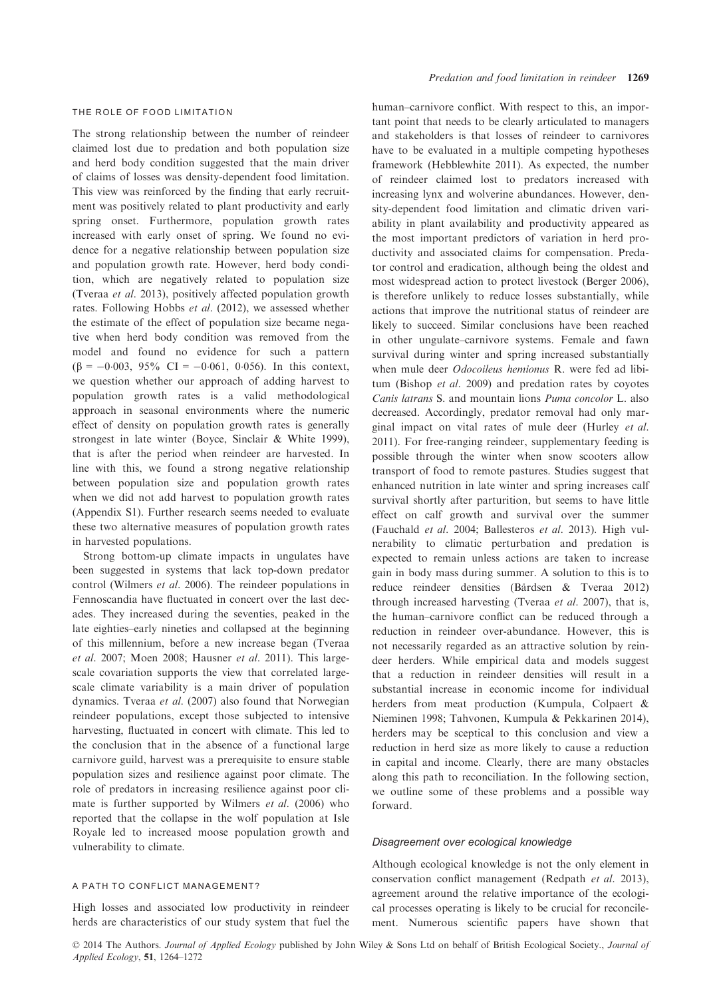#### THE ROLE OF FOOD LIMITATION

The strong relationship between the number of reindeer claimed lost due to predation and both population size and herd body condition suggested that the main driver of claims of losses was density-dependent food limitation. This view was reinforced by the finding that early recruitment was positively related to plant productivity and early spring onset. Furthermore, population growth rates increased with early onset of spring. We found no evidence for a negative relationship between population size and population growth rate. However, herd body condition, which are negatively related to population size (Tveraa et al. 2013), positively affected population growth rates. Following Hobbs et al. (2012), we assessed whether the estimate of the effect of population size became negative when herd body condition was removed from the model and found no evidence for such a pattern  $(\beta = -0.003, 95\% \text{ CI} = -0.061, 0.056)$ . In this context, we question whether our approach of adding harvest to population growth rates is a valid methodological approach in seasonal environments where the numeric effect of density on population growth rates is generally strongest in late winter (Boyce, Sinclair & White 1999), that is after the period when reindeer are harvested. In line with this, we found a strong negative relationship between population size and population growth rates when we did not add harvest to population growth rates (Appendix S1). Further research seems needed to evaluate these two alternative measures of population growth rates in harvested populations.

Strong bottom-up climate impacts in ungulates have been suggested in systems that lack top-down predator control (Wilmers et al. 2006). The reindeer populations in Fennoscandia have fluctuated in concert over the last decades. They increased during the seventies, peaked in the late eighties–early nineties and collapsed at the beginning of this millennium, before a new increase began (Tveraa et al. 2007; Moen 2008; Hausner et al. 2011). This largescale covariation supports the view that correlated largescale climate variability is a main driver of population dynamics. Tveraa et al. (2007) also found that Norwegian reindeer populations, except those subjected to intensive harvesting, fluctuated in concert with climate. This led to the conclusion that in the absence of a functional large carnivore guild, harvest was a prerequisite to ensure stable population sizes and resilience against poor climate. The role of predators in increasing resilience against poor climate is further supported by Wilmers et al. (2006) who reported that the collapse in the wolf population at Isle Royale led to increased moose population growth and vulnerability to climate.

# A PATH TO CONFLICT MANAGEMENT?

High losses and associated low productivity in reindeer herds are characteristics of our study system that fuel the human–carnivore conflict. With respect to this, an important point that needs to be clearly articulated to managers and stakeholders is that losses of reindeer to carnivores have to be evaluated in a multiple competing hypotheses framework (Hebblewhite 2011). As expected, the number of reindeer claimed lost to predators increased with increasing lynx and wolverine abundances. However, density-dependent food limitation and climatic driven variability in plant availability and productivity appeared as the most important predictors of variation in herd productivity and associated claims for compensation. Predator control and eradication, although being the oldest and most widespread action to protect livestock (Berger 2006), is therefore unlikely to reduce losses substantially, while actions that improve the nutritional status of reindeer are likely to succeed. Similar conclusions have been reached in other ungulate–carnivore systems. Female and fawn survival during winter and spring increased substantially when mule deer Odocoileus hemionus R. were fed ad libitum (Bishop et al. 2009) and predation rates by coyotes Canis latrans S. and mountain lions Puma concolor L. also decreased. Accordingly, predator removal had only marginal impact on vital rates of mule deer (Hurley et al. 2011). For free-ranging reindeer, supplementary feeding is possible through the winter when snow scooters allow transport of food to remote pastures. Studies suggest that enhanced nutrition in late winter and spring increases calf survival shortly after parturition, but seems to have little effect on calf growth and survival over the summer (Fauchald et al. 2004; Ballesteros et al. 2013). High vulnerability to climatic perturbation and predation is expected to remain unless actions are taken to increase gain in body mass during summer. A solution to this is to reduce reindeer densities (Bardsen & Tveraa 2012) through increased harvesting (Tveraa et al. 2007), that is, the human–carnivore conflict can be reduced through a reduction in reindeer over-abundance. However, this is not necessarily regarded as an attractive solution by reindeer herders. While empirical data and models suggest that a reduction in reindeer densities will result in a substantial increase in economic income for individual herders from meat production (Kumpula, Colpaert & Nieminen 1998; Tahvonen, Kumpula & Pekkarinen 2014), herders may be sceptical to this conclusion and view a reduction in herd size as more likely to cause a reduction in capital and income. Clearly, there are many obstacles along this path to reconciliation. In the following section, we outline some of these problems and a possible way forward.

# Disagreement over ecological knowledge

Although ecological knowledge is not the only element in conservation conflict management (Redpath et al. 2013), agreement around the relative importance of the ecological processes operating is likely to be crucial for reconcilement. Numerous scientific papers have shown that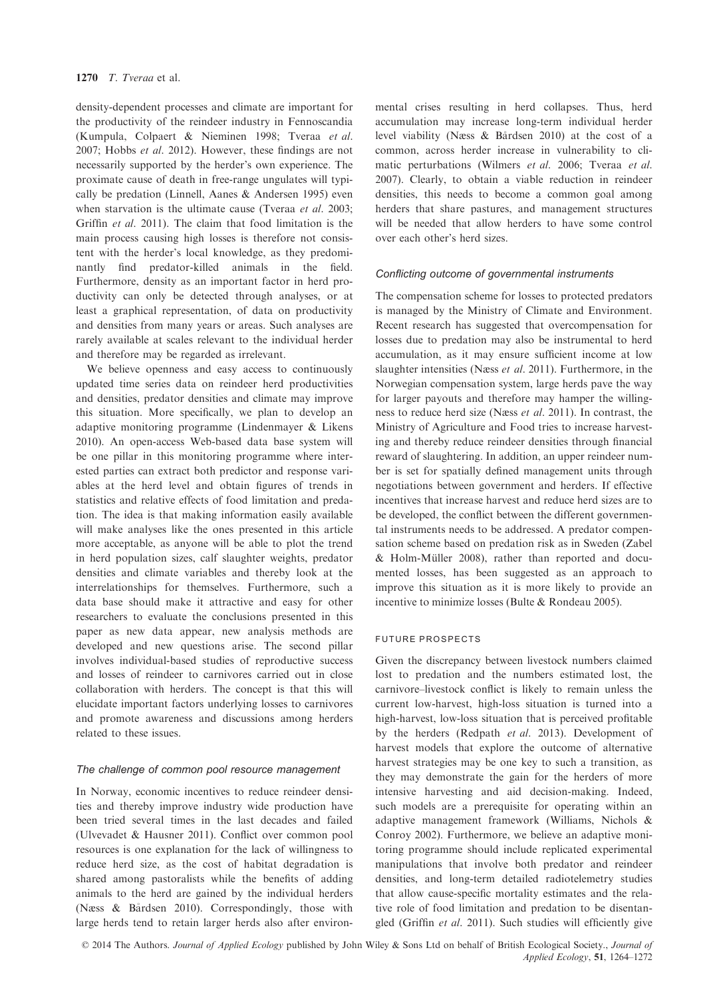# 1270  $T$ . Tyeraa et al.

density-dependent processes and climate are important for the productivity of the reindeer industry in Fennoscandia (Kumpula, Colpaert & Nieminen 1998; Tveraa et al. 2007; Hobbs et al. 2012). However, these findings are not necessarily supported by the herder's own experience. The proximate cause of death in free-range ungulates will typically be predation (Linnell, Aanes & Andersen 1995) even when starvation is the ultimate cause (Tveraa et al. 2003; Griffin et al. 2011). The claim that food limitation is the main process causing high losses is therefore not consistent with the herder's local knowledge, as they predominantly find predator-killed animals in the field. Furthermore, density as an important factor in herd productivity can only be detected through analyses, or at least a graphical representation, of data on productivity and densities from many years or areas. Such analyses are rarely available at scales relevant to the individual herder and therefore may be regarded as irrelevant.

We believe openness and easy access to continuously updated time series data on reindeer herd productivities and densities, predator densities and climate may improve this situation. More specifically, we plan to develop an adaptive monitoring programme (Lindenmayer & Likens 2010). An open-access Web-based data base system will be one pillar in this monitoring programme where interested parties can extract both predictor and response variables at the herd level and obtain figures of trends in statistics and relative effects of food limitation and predation. The idea is that making information easily available will make analyses like the ones presented in this article more acceptable, as anyone will be able to plot the trend in herd population sizes, calf slaughter weights, predator densities and climate variables and thereby look at the interrelationships for themselves. Furthermore, such a data base should make it attractive and easy for other researchers to evaluate the conclusions presented in this paper as new data appear, new analysis methods are developed and new questions arise. The second pillar involves individual-based studies of reproductive success and losses of reindeer to carnivores carried out in close collaboration with herders. The concept is that this will elucidate important factors underlying losses to carnivores and promote awareness and discussions among herders related to these issues.

# The challenge of common pool resource management

In Norway, economic incentives to reduce reindeer densities and thereby improve industry wide production have been tried several times in the last decades and failed (Ulvevadet & Hausner 2011). Conflict over common pool resources is one explanation for the lack of willingness to reduce herd size, as the cost of habitat degradation is shared among pastoralists while the benefits of adding animals to the herd are gained by the individual herders (Næss & Bardsen 2010). Correspondingly, those with large herds tend to retain larger herds also after environmental crises resulting in herd collapses. Thus, herd accumulation may increase long-term individual herder level viability (Næss & Bardsen 2010) at the cost of a common, across herder increase in vulnerability to climatic perturbations (Wilmers et al. 2006; Tveraa et al. 2007). Clearly, to obtain a viable reduction in reindeer densities, this needs to become a common goal among herders that share pastures, and management structures will be needed that allow herders to have some control over each other's herd sizes.

## Conflicting outcome of governmental instruments

The compensation scheme for losses to protected predators is managed by the Ministry of Climate and Environment. Recent research has suggested that overcompensation for losses due to predation may also be instrumental to herd accumulation, as it may ensure sufficient income at low slaughter intensities (Næss et al. 2011). Furthermore, in the Norwegian compensation system, large herds pave the way for larger payouts and therefore may hamper the willingness to reduce herd size (Næss et al. 2011). In contrast, the Ministry of Agriculture and Food tries to increase harvesting and thereby reduce reindeer densities through financial reward of slaughtering. In addition, an upper reindeer number is set for spatially defined management units through negotiations between government and herders. If effective incentives that increase harvest and reduce herd sizes are to be developed, the conflict between the different governmental instruments needs to be addressed. A predator compensation scheme based on predation risk as in Sweden (Zabel  $&$  Holm-Müller 2008), rather than reported and documented losses, has been suggested as an approach to improve this situation as it is more likely to provide an incentive to minimize losses (Bulte & Rondeau 2005).

# FUTURE PROSPECTS

Given the discrepancy between livestock numbers claimed lost to predation and the numbers estimated lost, the carnivore–livestock conflict is likely to remain unless the current low-harvest, high-loss situation is turned into a high-harvest, low-loss situation that is perceived profitable by the herders (Redpath et al. 2013). Development of harvest models that explore the outcome of alternative harvest strategies may be one key to such a transition, as they may demonstrate the gain for the herders of more intensive harvesting and aid decision-making. Indeed, such models are a prerequisite for operating within an adaptive management framework (Williams, Nichols & Conroy 2002). Furthermore, we believe an adaptive monitoring programme should include replicated experimental manipulations that involve both predator and reindeer densities, and long-term detailed radiotelemetry studies that allow cause-specific mortality estimates and the relative role of food limitation and predation to be disentangled (Griffin et al. 2011). Such studies will efficiently give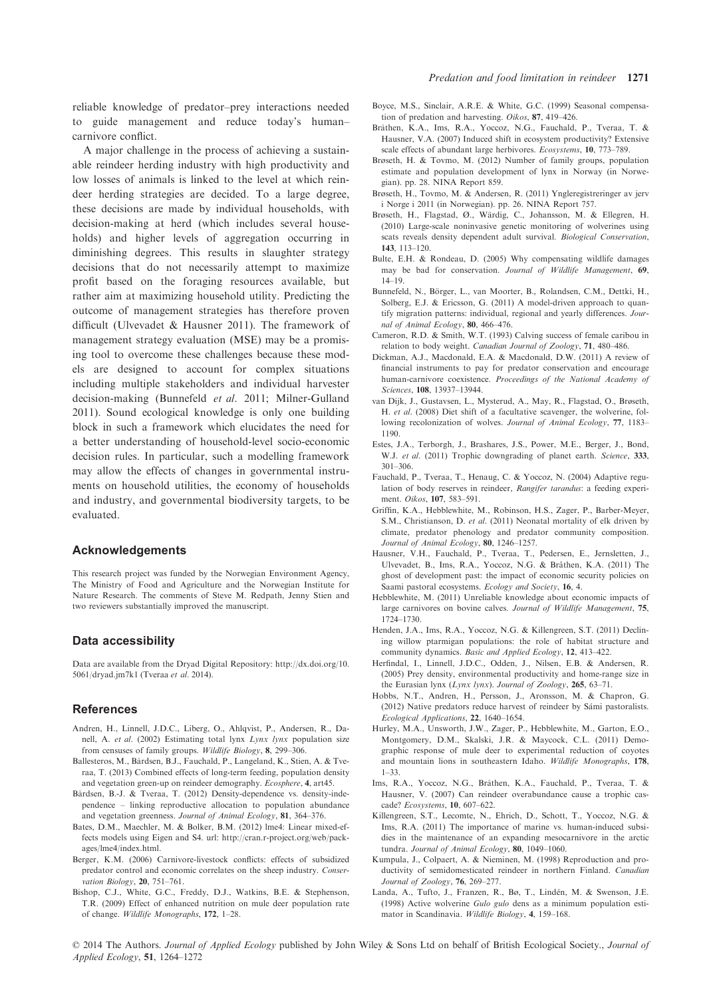reliable knowledge of predator–prey interactions needed to guide management and reduce today's human– carnivore conflict.

A major challenge in the process of achieving a sustainable reindeer herding industry with high productivity and low losses of animals is linked to the level at which reindeer herding strategies are decided. To a large degree, these decisions are made by individual households, with decision-making at herd (which includes several households) and higher levels of aggregation occurring in diminishing degrees. This results in slaughter strategy decisions that do not necessarily attempt to maximize profit based on the foraging resources available, but rather aim at maximizing household utility. Predicting the outcome of management strategies has therefore proven difficult (Ulvevadet & Hausner 2011). The framework of management strategy evaluation (MSE) may be a promising tool to overcome these challenges because these models are designed to account for complex situations including multiple stakeholders and individual harvester decision-making (Bunnefeld et al. 2011; Milner-Gulland 2011). Sound ecological knowledge is only one building block in such a framework which elucidates the need for a better understanding of household-level socio-economic decision rules. In particular, such a modelling framework may allow the effects of changes in governmental instruments on household utilities, the economy of households and industry, and governmental biodiversity targets, to be evaluated.

#### Acknowledgements

This research project was funded by the Norwegian Environment Agency, The Ministry of Food and Agriculture and the Norwegian Institute for Nature Research. The comments of Steve M. Redpath, Jenny Stien and two reviewers substantially improved the manuscript.

## Data accessibility

Data are available from the Dryad Digital Repository: http://dx.doi.org/10. 5061/dryad.jm7k1 (Tveraa et al. 2014).

## References

- Andren, H., Linnell, J.D.C., Liberg, O., Ahlqvist, P., Andersen, R., Danell, A. et al. (2002) Estimating total lynx Lynx lynx population size from censuses of family groups. Wildlife Biology, 8, 299–306.
- Ballesteros, M., Bardsen, B.J., Fauchald, P., Langeland, K., Stien, A. & Tveraa, T. (2013) Combined effects of long-term feeding, population density and vegetation green-up on reindeer demography. Ecosphere, 4, art45.
- Bardsen, B.-J. & Tveraa, T. (2012) Density-dependence vs. density-independence – linking reproductive allocation to population abundance and vegetation greenness. Journal of Animal Ecology, 81, 364–376.
- Bates, D.M., Maechler, M. & Bolker, B.M. (2012) lme4: Linear mixed-effects models using Eigen and S4. url: http://cran.r-project.org/web/packages/lme4/index.html.
- Berger, K.M. (2006) Carnivore-livestock conflicts: effects of subsidized predator control and economic correlates on the sheep industry. Conservation Biology, 20, 751-761.
- Bishop, C.J., White, G.C., Freddy, D.J., Watkins, B.E. & Stephenson, T.R. (2009) Effect of enhanced nutrition on mule deer population rate of change. Wildlife Monographs, 172, 1–28.
- Boyce, M.S., Sinclair, A.R.E. & White, G.C. (1999) Seasonal compensation of predation and harvesting. Oikos, 87, 419–426.
- Brathen, K.A., Ims, R.A., Yoccoz, N.G., Fauchald, P., Tveraa, T. & Hausner, V.A. (2007) Induced shift in ecosystem productivity? Extensive scale effects of abundant large herbivores. Ecosystems, 10, 773–789.
- Brøseth, H. & Tovmo, M. (2012) Number of family groups, population estimate and population development of lynx in Norway (in Norwegian). pp. 28. NINA Report 859.
- Brøseth, H., Tovmo, M. & Andersen, R. (2011) Yngleregistreringer av jerv i Norge i 2011 (in Norwegian). pp. 26. NINA Report 757.
- Brøseth, H., Flagstad, Ø., Wärdig, C., Johansson, M. & Ellegren, H. (2010) Large-scale noninvasive genetic monitoring of wolverines using scats reveals density dependent adult survival. Biological Conservation, 143, 113–120.
- Bulte, E.H. & Rondeau, D. (2005) Why compensating wildlife damages may be bad for conservation. Journal of Wildlife Management, 69, 14–19.
- Bunnefeld, N., Börger, L., van Moorter, B., Rolandsen, C.M., Dettki, H., Solberg, E.J. & Ericsson, G. (2011) A model-driven approach to quantify migration patterns: individual, regional and yearly differences. Journal of Animal Ecology, 80, 466–476.
- Cameron, R.D. & Smith, W.T. (1993) Calving success of female caribou in relation to body weight. Canadian Journal of Zoology, 71, 480–486.
- Dickman, A.J., Macdonald, E.A. & Macdonald, D.W. (2011) A review of financial instruments to pay for predator conservation and encourage human-carnivore coexistence. Proceedings of the National Academy of Sciences, 108, 13937–13944.
- van Dijk, J., Gustavsen, L., Mysterud, A., May, R., Flagstad, O., Brøseth, H. et al. (2008) Diet shift of a facultative scavenger, the wolverine, following recolonization of wolves. Journal of Animal Ecology, 77, 1183– 1190.
- Estes, J.A., Terborgh, J., Brashares, J.S., Power, M.E., Berger, J., Bond, W.J. et al. (2011) Trophic downgrading of planet earth. Science, 333, 301–306.
- Fauchald, P., Tveraa, T., Henaug, C. & Yoccoz, N. (2004) Adaptive regulation of body reserves in reindeer, Rangifer tarandus: a feeding experiment. Oikos, 107, 583–591.
- Griffin, K.A., Hebblewhite, M., Robinson, H.S., Zager, P., Barber-Meyer, S.M., Christianson, D. et al. (2011) Neonatal mortality of elk driven by climate, predator phenology and predator community composition. Journal of Animal Ecology, 80, 1246–1257.
- Hausner, V.H., Fauchald, P., Tveraa, T., Pedersen, E., Jernsletten, J., Ulvevadet, B., Ims, R.A., Yoccoz, N.G. & Bråthen, K.A. (2011) The ghost of development past: the impact of economic security policies on Saami pastoral ecosystems. Ecology and Society, 16, 4.
- Hebblewhite, M. (2011) Unreliable knowledge about economic impacts of large carnivores on bovine calves. Journal of Wildlife Management, 75, 1724–1730.
- Henden, J.A., Ims, R.A., Yoccoz, N.G. & Killengreen, S.T. (2011) Declining willow ptarmigan populations: the role of habitat structure and community dynamics. Basic and Applied Ecology, 12, 413–422.
- Herfindal, I., Linnell, J.D.C., Odden, J., Nilsen, E.B. & Andersen, R. (2005) Prey density, environmental productivity and home-range size in the Eurasian lynx (Lynx lynx). Journal of Zoology,  $265$ ,  $63-71$ .
- Hobbs, N.T., Andren, H., Persson, J., Aronsson, M. & Chapron, G. (2012) Native predators reduce harvest of reindeer by Sámi pastoralists. Ecological Applications, 22, 1640–1654.
- Hurley, M.A., Unsworth, J.W., Zager, P., Hebblewhite, M., Garton, E.O., Montgomery, D.M., Skalski, J.R. & Maycock, C.L. (2011) Demographic response of mule deer to experimental reduction of coyotes and mountain lions in southeastern Idaho. Wildlife Monographs, 178, 1–33.
- Ims, R.A., Yoccoz, N.G., Brathen, K.A., Fauchald, P., Tveraa, T. & Hausner, V. (2007) Can reindeer overabundance cause a trophic cascade? Ecosystems, 10, 607–622.
- Killengreen, S.T., Lecomte, N., Ehrich, D., Schott, T., Yoccoz, N.G. & Ims, R.A. (2011) The importance of marine vs. human-induced subsidies in the maintenance of an expanding mesocarnivore in the arctic tundra. Journal of Animal Ecology, 80, 1049–1060.
- Kumpula, J., Colpaert, A. & Nieminen, M. (1998) Reproduction and productivity of semidomesticated reindeer in northern Finland. Canadian Journal of Zoology, 76, 269–277.
- Landa, A., Tufto, J., Franzen, R., Bø, T., Linden, M. & Swenson, J.E. (1998) Active wolverine Gulo gulo dens as a minimum population estimator in Scandinavia. Wildlife Biology, 4, 159–168.